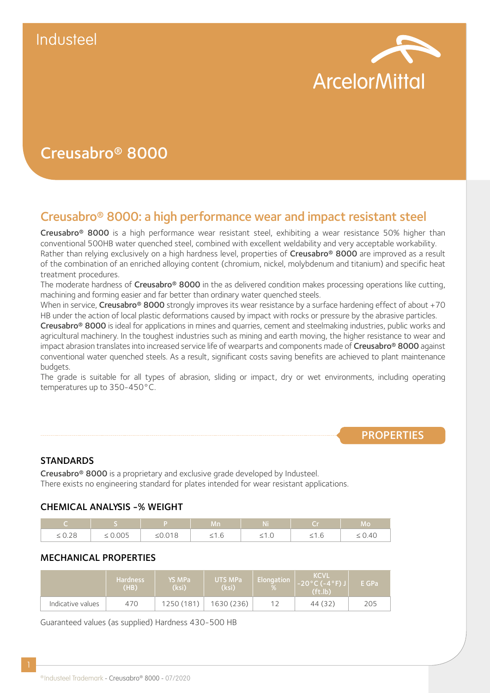

# Creusabro® 8000

# Creusabro® 8000: a high performance wear and impact resistant steel

Creusabro® 8000 is a high performance wear resistant steel, exhibiting a wear resistance 50% higher than conventional 500HB water quenched steel, combined with excellent weldability and very acceptable workability. Rather than relying exclusively on a high hardness level, properties of Creusabro® 8000 are improved as a result of the combination of an enriched alloying content (chromium, nickel, molybdenum and titanium) and specific heat treatment procedures.

The moderate hardness of Creusabro<sup>®</sup> 8000 in the as delivered condition makes processing operations like cutting, machining and forming easier and far better than ordinary water quenched steels.

When in service, Creusabro® 8000 strongly improves its wear resistance by a surface hardening effect of about +70 HB under the action of local plastic deformations caused by impact with rocks or pressure by the abrasive particles.

Creusabro® 8000 is ideal for applications in mines and quarries, cement and steelmaking industries, public works and agricultural machinery. In the toughest industries such as mining and earth moving, the higher resistance to wear and impact abrasion translates into increased service life of wearparts and components made of Creusabro® 8000 against conventional water quenched steels. As a result, significant costs saving benefits are achieved to plant maintenance budgets.

The grade is suitable for all types of abrasion, sliding or impact, dry or wet environments, including operating temperatures up to 350-450°C.

# **PROPERTIES**

# **STANDARDS**

Creusabro® 8000 is a proprietary and exclusive grade developed by Industeel. There exists no engineering standard for plates intended for wear resistant applications.

# CHEMICAL ANALYSIS -% WEIGHT

|                       |              |                               | Mn         | 1 V .  |        | Mo,         |
|-----------------------|--------------|-------------------------------|------------|--------|--------|-------------|
| . 0.20<br>$\geq$ 0.40 | $\leq 0.005$ | $\bigcap$ $\bigcap$<br>20.010 | $\geq$ 1.0 | $-1.0$ | $-1.0$ | $\leq 0.40$ |

### MECHANICAL PROPERTIES

|                   | Hardness.<br>(HB) | YS MPa<br>(ksi) | UTS MPa<br>(ksi) | Elongation | <b>KCVL</b><br>$-20$ °C (-4°F) J<br>(f <sub>t</sub> .  <sub>b</sub> ) | E GPa |
|-------------------|-------------------|-----------------|------------------|------------|-----------------------------------------------------------------------|-------|
| Indicative values | 470               | 1250 (181)      | 1630 (236)       |            | 44 (32)                                                               | 205   |

Guaranteed values (as supplied) Hardness 430-500 HB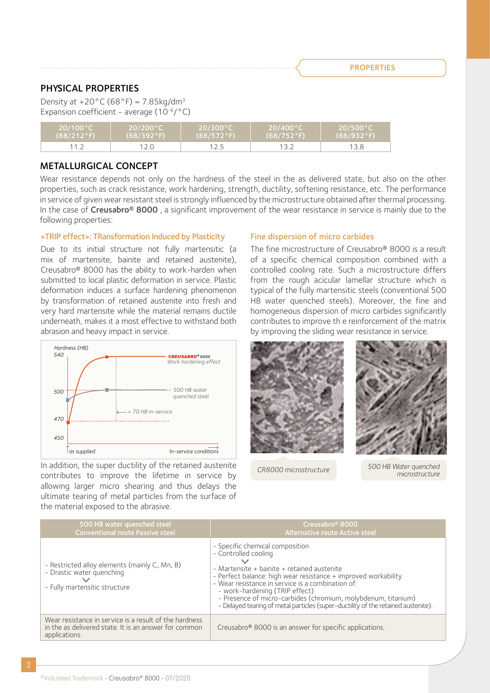**PROPERTIES** 

## PHYSICAL PROPERTIES

Density at  $+20^{\circ}$ C (68°F) = 7.85kg/dm<sup>3</sup> Expansion coefficient - average  $(10^{-6}/^{\circ}C)$ 

| $20/100\degree$ C | $20/200\degree$ C | $20/300\degree$ C | . 20/400°C \   | ⊾20/500°C \ |
|-------------------|-------------------|-------------------|----------------|-------------|
| $(68/212)$ °F)    | $(68/392)$ °F)    | $(68/572)$ °F)    | $(68/752)$ °F) | (68/932°F)  |
|                   |                   |                   |                |             |

### METALLURGICAL CONCEPT

Wear resistance depends not only on the hardness of the steel in the as delivered state, but also on the other properties, such as crack resistance, work hardening, strength, ductility, softening resistance, etc. The performance in service of given wear resistant steel is strongly influenced by the microstructure obtained after thermal processing. In the case of Creusabro<sup>®</sup> 8000, a significant improvement of the wear resistance in service is mainly due to the following properties:

#### «TRIP effect»: TRansformation Induced by Plasticity

Due to its initial structure not fully martensitic (a mix of martensite, bainite and retained austenite), Creusabro® 8000 has the ability to work-harden when submitted to local plastic deformation in service. Plastic deformation induces a surface hardening phenomenon by transformation of retained austenite into fresh and very hard martensite while the material remains ductile underneath, makes it a most effective to withstand both abrasion and heavy impact in service.



In addition, the super ductility of the retained austenite contributes to improve the lifetime in service by allowing larger micro shearing and thus delays the ultimate tearing of metal particles from the surface of the material exposed to the abrasive.

#### Fine dispersion of micro carbides

The fine microstructure of Creusabro® 8000 is a result of a specific chemical composition combined with a controlled cooling rate. Such a microstructure differs from the rough acicular lamellar structure which is typical of the fully martensitic steels (conventional 500 HB water quenched steels). Moreover, the fine and homogeneous dispersion of micro carbides significantly contributes to improve th e reinforcement of the matrix by improving the sliding wear resistance in service.



*CR8000 microstructure 500 HB Water quenched microstructure*

| 500 HB water quenched steel<br><b>Conventional route Passive steel</b>                                                          | Creusabro <sup>®</sup> 8000<br>Alternative route Active steel                                                                                                                                                                                                                                                                                                                                                         |
|---------------------------------------------------------------------------------------------------------------------------------|-----------------------------------------------------------------------------------------------------------------------------------------------------------------------------------------------------------------------------------------------------------------------------------------------------------------------------------------------------------------------------------------------------------------------|
| - Restricted alloy elements (mainly C, Mn, B)<br>- Drastic water quenching<br>$\checkmark$<br>- Fully martensitic structure     | - Specific chemical composition<br>- Controlled cooling<br>- Martensite + bainite + retained austenite<br>- Perfect balance: high wear resistance + improved workability<br>- Wear resistance in service is a combination of:<br>- work-hardening (TRIP effect)<br>- Presence of micro-carbides (chromium, molybdenum, titanium)<br>- Delayed tearing of metal particles (super-ductility of the retained austenite). |
| Wear resistance in service is a result of the hardness<br>in the as delivered state. It is an answer for common<br>applications | Creusabro <sup>®</sup> 8000 is an answer for specific applications.                                                                                                                                                                                                                                                                                                                                                   |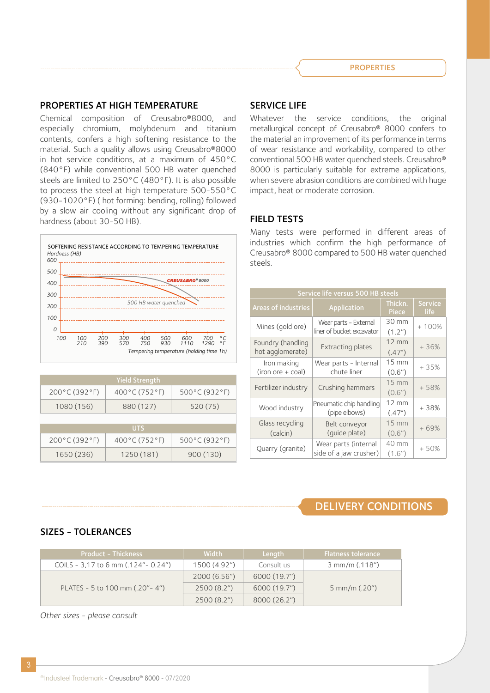### PROPERTIES AT HIGH TEMPERATURE

Chemical composition of Creusabro®8000, and especially chromium, molybdenum and titanium contents, confers a high softening resistance to the material. Such a quality allows using Creusabro®8000 in hot service conditions, at a maximum of 450°C (840°F) while conventional 500 HB water quenched steels are limited to 250°C (480°F). It is also possible to process the steel at high temperature 500-550°C (930-1020°F) ( hot forming: bending, rolling) followed by a slow air cooling without any significant drop of hardness (about 30-50 HB).



| <b>Yield Strength</b>   |                                   |                         |  |
|-------------------------|-----------------------------------|-------------------------|--|
| $200^{\circ}$ C (392°F) | 400 $\degree$ C (752 $\degree$ F) | $500^{\circ}$ C (932°F) |  |
| 1080 (156)              | 880 (127)                         | 520 (75)                |  |
|                         |                                   |                         |  |
|                         | <b>UTS</b>                        |                         |  |
| $200^{\circ}$ C (392°F) | $400^{\circ}$ C (752°F)           | $500^{\circ}$ C (932°F) |  |
| 1650 (236)              | 1250 (181)                        | 900 (130)               |  |

### SERVICE LIFE

Whatever the service conditions, the original metallurgical concept of Creusabro® 8000 confers to the material an improvement of its performance in terms of wear resistance and workability, compared to other conventional 500 HB water quenched steels. Creusabro® 8000 is particularly suitable for extreme applications, when severe abrasion conditions are combined with huge impact, heat or moderate corrosion.

#### FIELD TESTS

Many tests were performed in different areas of industries which confirm the high performance of Creusabro® 8000 compared to 500 HB water quenched steels.

|                                       | Service life versus 500 HB steels                  |                             |                        |  |
|---------------------------------------|----------------------------------------------------|-----------------------------|------------------------|--|
| <b>Areas of industries</b>            | Application                                        | Thickn.<br>Piece            | <b>Service</b><br>life |  |
| Mines (gold ore)                      | Wear parts - External<br>liner of bucket excavator | 30 mm<br>(1.2")             | $+100%$                |  |
| Foundry (handling<br>hot agglomerate) | <b>Extracting plates</b>                           | $12 \text{ mm}$<br>(.47")   | $+36%$                 |  |
| Iron making<br>$(iron ore + coal)$    | Wear parts - Internal<br>chute liner               | $15 \text{ mm}$<br>(0.6")   | $+35%$                 |  |
| Fertilizer industry                   | Crushing hammers                                   | $15 \, \text{mm}$<br>(0.6") | $+58%$                 |  |
| Wood industry                         | Pneumatic chip handling<br>(pipe elbows)           | $12 \text{ mm}$<br>(.47")   | $+38%$                 |  |
| Glass recycling<br>(calcin)           | Belt conveyor<br>(quide plate)                     | <b>15 mm</b><br>(0.6")      | $+69%$                 |  |
| Quarry (granite)                      | Wear parts (internal<br>side of a jaw crusher)     | 40 mm<br>(1.6")             | $+50%$                 |  |

# DELIVERY CONDITIONS

### SIZES - TOLERANCES

| <b>Product - Thickness</b>                           | Width        | ' Length <sub>I</sub> | <b>Flatness tolerance</b> |
|------------------------------------------------------|--------------|-----------------------|---------------------------|
| COILS - 3,17 to 6 mm $(.124^{\prime\prime}$ - 0.24") | 1500 (4.92") | Consult us            | $3$ mm/m $(.118")$        |
|                                                      | 2000(6.56")  | 6000 (19.7")          |                           |
| PLATES - 5 to 100 mm (.20" - 4")                     | 2500(8.2")   | 6000 (19.7")          | $5$ mm/m $(.20")$         |
|                                                      | 2500(8.2")   | 8000 (26.2")          |                           |

*Other sizes - please consult*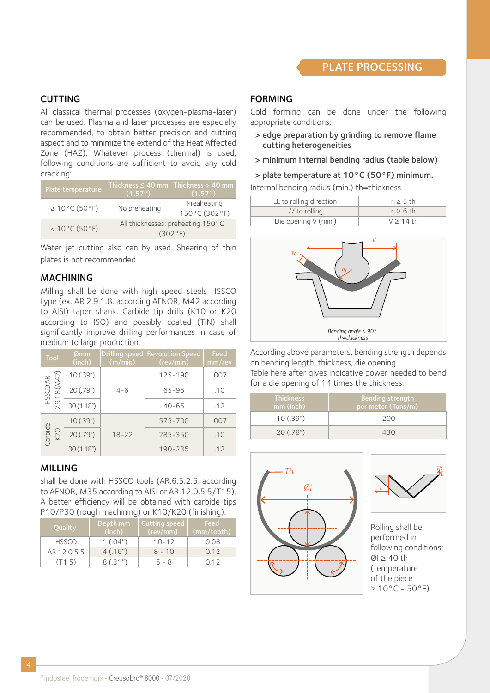# CUTTING

All classical thermal processes (oxygen-plasma-laser) can be used. Plasma and laser processes are especially recommended, to obtain better precision and cutting aspect and to minimize the extend of the Heat Affected Zone (HAZ). Whatever process (thermal) is used, following conditions are sufficient to avoid any cold cracking:

| Plate temperature       | (1.57'')                                     | Thickness $\leq 40$ mm   Thickness > 40 mm<br>(1.57'') |
|-------------------------|----------------------------------------------|--------------------------------------------------------|
| $\geq$ 10°C (50°F)      | No preheating                                | Preaheating<br>150°C (302°F)                           |
| $< 10^{\circ}$ C (50°F) | All thicknesses: preheating 150°C<br>(302°F) |                                                        |

Water jet cutting also can by used. Shearing of thin plates is not recommended

### MACHINING

Milling shall be done with high speed steels HSSCO type (ex. AR 2.9.1.8. according AFNOR, M42 according to AISI) taper shank. Carbide tip drills (K10 or K20 according to ISO) and possibly coated (TiN) shall significantly improve drilling performances in case of medium to large production.

| Tool                      | Ømm<br>(inch)          | <b>Drilling speed</b><br>(m/min) | <b>Revolution Speed</b><br>(rev/min) | Feed<br>mm/rev |
|---------------------------|------------------------|----------------------------------|--------------------------------------|----------------|
|                           | 10(.39")               |                                  | 125-190                              | .007           |
| HSSCO AR<br>2.9.1.8 (M42) | 20 (.79")              | $4 - 6$                          | 65-95                                | .10            |
|                           | 30(1.18")              |                                  | $40 - 65$                            | .12            |
|                           | 10(.39")               |                                  | 575-700                              | .007           |
| Carbide<br>K20            | 20(.79")               | $18 - 22$                        | 285-350                              | .10            |
|                           | 30(1.18 <sup>n</sup> ) |                                  | 190-235                              | .12            |

# MILLING

shall be done with HSSCO tools (AR.6.5.2.5. according to AFNOR, M35 according to AISI or AR.12.0.5.5/T15). A better efficiency will be obtained with carbide tips P10/P30 (rough machining) or K10/K20 (finishing).

| Quality      | Depth mm<br>(inch) | Cutting speed<br>(rev/mm) | Feed<br>(mm/tooth) |
|--------------|--------------------|---------------------------|--------------------|
| <b>HSSCO</b> | 1(.04")            | $10 - 12$                 | 0.08               |
| AR 12.0.5.5  | 4(.16")            | $8 - 10$                  | 012                |
| (T15)        | 8(.31")            | $5 - 8$                   | 0.12               |

### FORMING

Cold forming can be done under the following appropriate conditions:

- > edge preparation by grinding to remove flame cutting heterogeneities
- > minimum internal bending radius (table below)
- > plate temperature at 10°C (50°F) minimum.

Internal bending radius (min.) th=thickness

| $\perp$ to rolling direction | $ri \geq 5$ th |
|------------------------------|----------------|
| $//$ to rolling              | $ri \ge 6$ th  |
| Die opening V (mini)         | $V \ge 14$ th  |
|                              |                |



According above parameters, bending strength depends on bending length, thickness, die opening...

Table here after gives indicative power needed to bend for a die opening of 14 times the thickness.

| <b>Thickness</b><br>mm (inch) | Bending strength<br>per meter (Tons/m) |
|-------------------------------|----------------------------------------|
| 10(.39")                      | 200                                    |
| 20(.78")                      | 430                                    |





Rolling shall be performed in following conditions:  $\varnothing$ I  $\geq$  40 th (temperature of the piece  $\geq 10^{\circ}$ C - 50°F)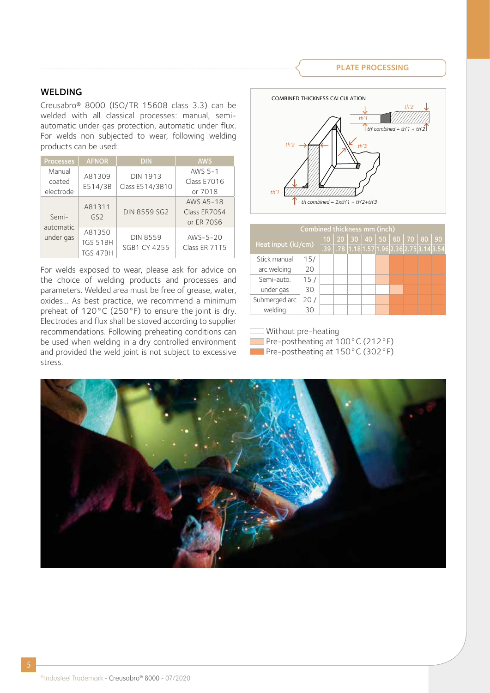#### PLATE PROCESSING

#### WELDING

Creusabro® 8000 (ISO/TR 15608 class 3.3) can be welded with all classical processes: manual, semiautomatic under gas protection, automatic under flux. For welds non subjected to wear, following welding products can be used:

| <b>Processes</b>                | <b>AFNOR</b>              | <b>DIN</b>          | <b>AWS</b>    |  |  |  |
|---------------------------------|---------------------------|---------------------|---------------|--|--|--|
| Manual                          | A81309                    | <b>DIN 1913</b>     | AWS 5-1       |  |  |  |
| coated                          | E514/3B                   | Class E514/3B10     | Class E7016   |  |  |  |
| electrode                       |                           |                     | or 7018       |  |  |  |
| Semi-<br>automatic<br>under gas | A81311<br>GS <sub>2</sub> |                     | AWS A5-18     |  |  |  |
|                                 |                           | <b>DIN 8559 SG2</b> | Class ER70S4  |  |  |  |
|                                 |                           |                     | or ER 70S6    |  |  |  |
|                                 | A81350                    | <b>DIN 8559</b>     | $AWS-5-20$    |  |  |  |
|                                 | TGS 51BH                  | <b>SGB1 CY 4255</b> | Class ER 71T5 |  |  |  |
|                                 | TGS 47BH                  |                     |               |  |  |  |

For welds exposed to wear, please ask for advice on the choice of welding products and processes and parameters. Welded area must be free of grease, water, oxides… As best practice, we recommend a minimum preheat of 120°C (250°F) to ensure the joint is dry. Electrodes and flux shall be stoved according to supplier recommendations. Following preheating conditions can be used when welding in a dry controlled environment and provided the weld joint is not subject to excessive stress.



| Combined thickness mm (inch) |     |  |  |                                                 |  |  |  |  |  |  |  |  |
|------------------------------|-----|--|--|-------------------------------------------------|--|--|--|--|--|--|--|--|
| Heat input (kJ/cm)           |     |  |  | 10 20 30 40 50 60 70 80 90                      |  |  |  |  |  |  |  |  |
|                              |     |  |  | $.39$ .78 $ 1.18 1.57 1.96 2.36 2.75 3.14 3.54$ |  |  |  |  |  |  |  |  |
| Stick manual                 | 15/ |  |  |                                                 |  |  |  |  |  |  |  |  |
| arc welding                  | 20  |  |  |                                                 |  |  |  |  |  |  |  |  |
| Semi-auto.<br>15/            |     |  |  |                                                 |  |  |  |  |  |  |  |  |
| under gas                    | 30  |  |  |                                                 |  |  |  |  |  |  |  |  |
| Submerged arc                | 20/ |  |  |                                                 |  |  |  |  |  |  |  |  |
| welding                      | 30  |  |  |                                                 |  |  |  |  |  |  |  |  |

Without pre-heating

**Pre-postheating at 100°C (212°F)** 

**Pre-postheating at 150°C (302°F)**